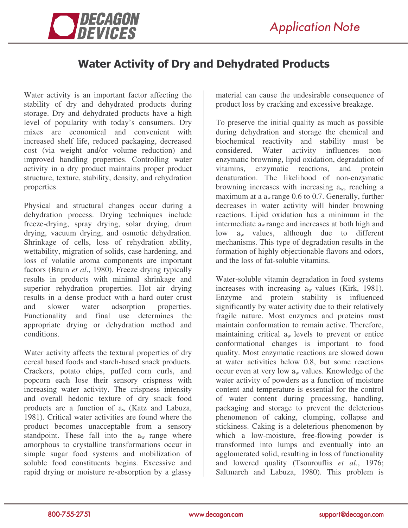

## Water Activity of Dry and Dehydrated Products

Water activity is an important factor affecting the stability of dry and dehydrated products during storage. Dry and dehydrated products have a high level of popularity with today's consumers. Dry mixes are economical and convenient with increased shelf life, reduced packaging, decreased cost (via weight and/or volume reduction) and improved handling properties. Controlling water activity in a dry product maintains proper product structure, texture, stability, density, and rehydration properties.

Physical and structural changes occur during a dehydration process. Drying techniques include freeze-drying, spray drying, solar drying, drum drying, vacuum drying, and osmotic dehydration. Shrinkage of cells, loss of rehydration ability, wettability, migration of solids, case hardening, and loss of volatile aroma components are important factors (Bruin *et al*., 1980). Freeze drying typically results in products with minimal shrinkage and superior rehydration properties. Hot air drying results in a dense product with a hard outer crust and slower water adsorption properties. Functionality and final use determines the appropriate drying or dehydration method and conditions.

Water activity affects the textural properties of dry cereal based foods and starch-based snack products. Crackers, potato chips, puffed corn curls, and popcorn each lose their sensory crispness with increasing water activity. The crispness intensity and overall hedonic texture of dry snack food products are a function of a<sup>w</sup> (Katz and Labuza, 1981). Critical water activities are found where the product becomes unacceptable from a sensory standpoint. These fall into the  $a_w$  range where amorphous to crystalline transformations occur in simple sugar food systems and mobilization of soluble food constituents begins. Excessive and rapid drying or moisture re-absorption by a glassy

material can cause the undesirable consequence of product loss by cracking and excessive breakage.

To preserve the initial quality as much as possible during dehydration and storage the chemical and biochemical reactivity and stability must be considered. Water activity influences nonenzymatic browning, lipid oxidation, degradation of vitamins, enzymatic reactions, and protein denaturation. The likelihood of non-enzymatic browning increases with increasing  $a_w$ , reaching a maximum at a a<sup>w</sup> range 0.6 to 0.7. Generally, further decreases in water activity will hinder browning reactions. Lipid oxidation has a minimum in the intermediate a<sup>w</sup> range and increases at both high and low  $a_w$  values, although due to different mechanisms. This type of degradation results in the formation of highly objectionable flavors and odors, and the loss of fat-soluble vitamins.

Water-soluble vitamin degradation in food systems increases with increasing  $a_w$  values (Kirk, 1981). Enzyme and protein stability is influenced significantly by water activity due to their relatively fragile nature. Most enzymes and proteins must maintain conformation to remain active. Therefore, maintaining critical a<sup>w</sup> levels to prevent or entice conformational changes is important to food quality. Most enzymatic reactions are slowed down at water activities below 0.8, but some reactions occur even at very low  $a_w$  values. Knowledge of the water activity of powders as a function of moisture content and temperature is essential for the control of water content during processing, handling, packaging and storage to prevent the deleterious phenomenon of caking, clumping, collapse and stickiness. Caking is a deleterious phenomenon by which a low-moisture, free-flowing powder is transformed into lumps and eventually into an agglomerated solid, resulting in loss of functionality and lowered quality (Tsourouflis *et al.*, 1976; Saltmarch and Labuza, 1980). This problem is